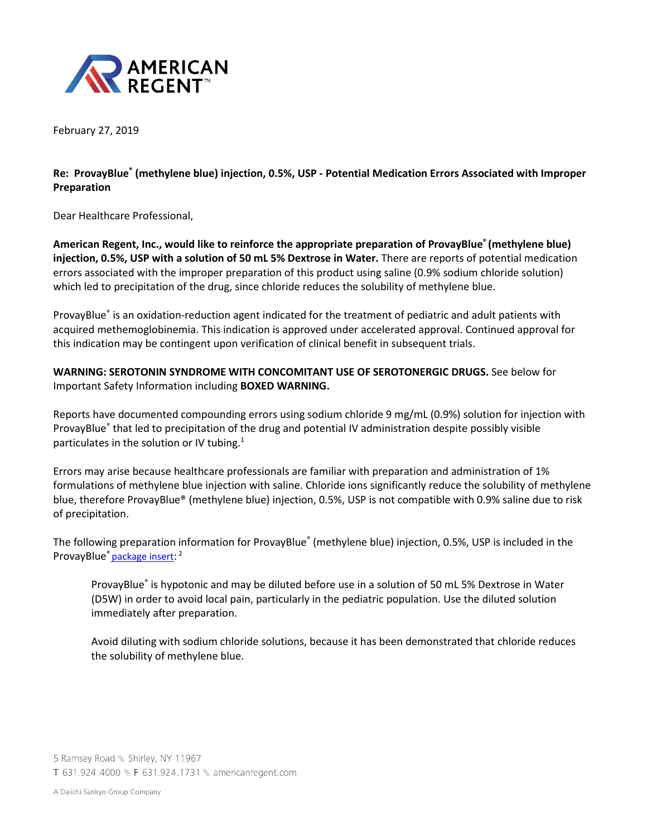

February 27, 2019

**Re: ProvayBlue® (methylene blue) injection, 0.5%, USP - Potential Medication Errors Associated with Improper Preparation**

Dear Healthcare Professional,

**American Regent, Inc., would like to reinforce the appropriate preparation of ProvayBlue® (methylene blue) injection, 0.5%, USP with a solution of 50 mL 5% Dextrose in Water.** There are reports of potential medication errors associated with the improper preparation of this product using saline (0.9% sodium chloride solution) which led to precipitation of the drug, since chloride reduces the solubility of methylene blue.

ProvayBlue® is an oxidation-reduction agent indicated for the treatment of pediatric and adult patients with acquired methemoglobinemia. This indication is approved under accelerated approval. Continued approval for this indication may be contingent upon verification of clinical benefit in subsequent trials.

**WARNING: SEROTONIN SYNDROME WITH CONCOMITANT USE OF SEROTONERGIC DRUGS.** See below for Important Safety Information including **BOXED WARNING.** 

Reports have documented compounding errors using sodium chloride 9 mg/mL (0.9%) solution for injection with ProvayBlue® that led to precipitation of the drug and potential IV administration despite possibly visible particulates in the solution or IV tubing.<sup>1</sup>

Errors may arise because healthcare professionals are familiar with preparation and administration of 1% formulations of methylene blue injection with saline. Chloride ions significantly reduce the solubility of methylene blue, therefore ProvayBlue® (methylene blue) injection, 0.5%, USP is not compatible with 0.9% saline due to risk of precipitation.

The following preparation information for ProvayBlue® (methylene blue) injection, 0.5%, USP is included in the ProvayBlue<sup>®</sup> [package insert:](https://www.americanregent.com/media/1802/provayblue-prescribing-information.pdf) <sup>2</sup>

ProvayBlue® is hypotonic and may be diluted before use in a solution of 50 mL 5% Dextrose in Water (D5W) in order to avoid local pain, particularly in the pediatric population. Use the diluted solution immediately after preparation.

Avoid diluting with sodium chloride solutions, because it has been demonstrated that chloride reduces the solubility of methylene blue.

5 Ramsey Road \\ Shirley, NY 11967 T 631.924.4000 \\ F 631.924.1731 \\ americanregent.com

A Daiichi Sankyo Group Company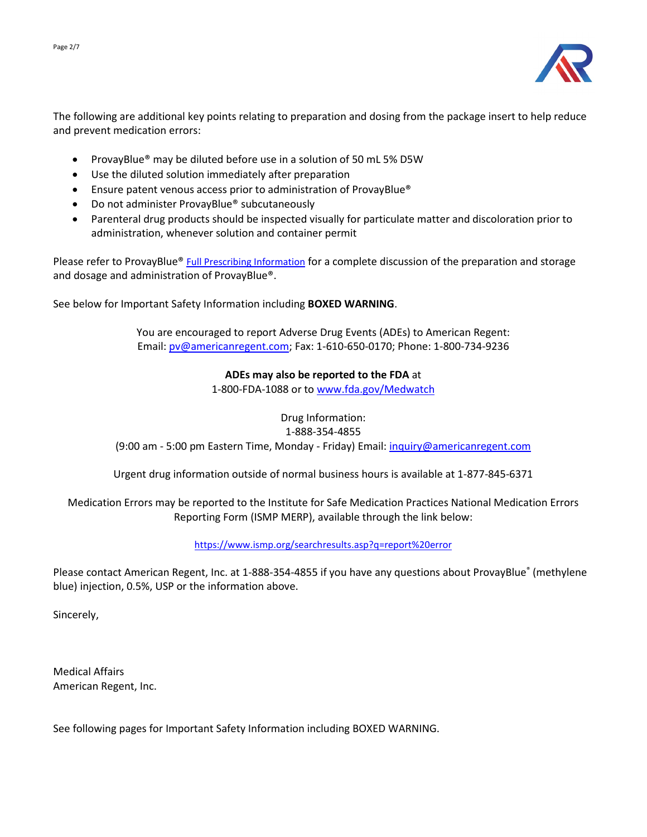

The following are additional key points relating to preparation and dosing from the package insert to help reduce and prevent medication errors:

- ProvayBlue® may be diluted before use in a solution of 50 mL 5% D5W
- Use the diluted solution immediately after preparation
- Ensure patent venous access prior to administration of ProvayBlue<sup>®</sup>
- Do not administer ProvayBlue® subcutaneously
- Parenteral drug products should be inspected visually for particulate matter and discoloration prior to administration, whenever solution and container permit

Please refer to ProvayBlue® [Full Prescribing Information](https://www.americanregent.com/media/1802/provayblue-prescribing-information.pdf) for a complete discussion of the preparation and storage and dosage and administration of ProvayBlue®.

See below for Important Safety Information including **BOXED WARNING**.

You are encouraged to report Adverse Drug Events (ADEs) to American Regent: Email: [pv@americanregent.com;](mailto:pv@luitpold.com) Fax: 1-610-650-0170; Phone: 1-800-734-9236

## **ADEs may also be reported to the FDA** at

1-800-FDA-1088 or to [www.fda.gov/Medwatch](http://www.fda.gov/Medwatch)

Drug Information: 1-888-354-4855

(9:00 am - 5:00 pm Eastern Time, Monday - Friday) Email[: inquiry@americanregent.com](mailto:inquiry@americanregent.com)

Urgent drug information outside of normal business hours is available at 1-877-845-6371

Medication Errors may be reported to the Institute for Safe Medication Practices National Medication Errors Reporting Form (ISMP MERP), available through the link below:

<https://www.ismp.org/searchresults.asp?q=report%20error>

Please contact American Regent, Inc. at 1-888-354-4855 if you have any questions about ProvayBlue® (methylene blue) injection, 0.5%, USP or the information above.

Sincerely,

Medical Affairs American Regent, Inc.

See following pages for Important Safety Information including BOXED WARNING.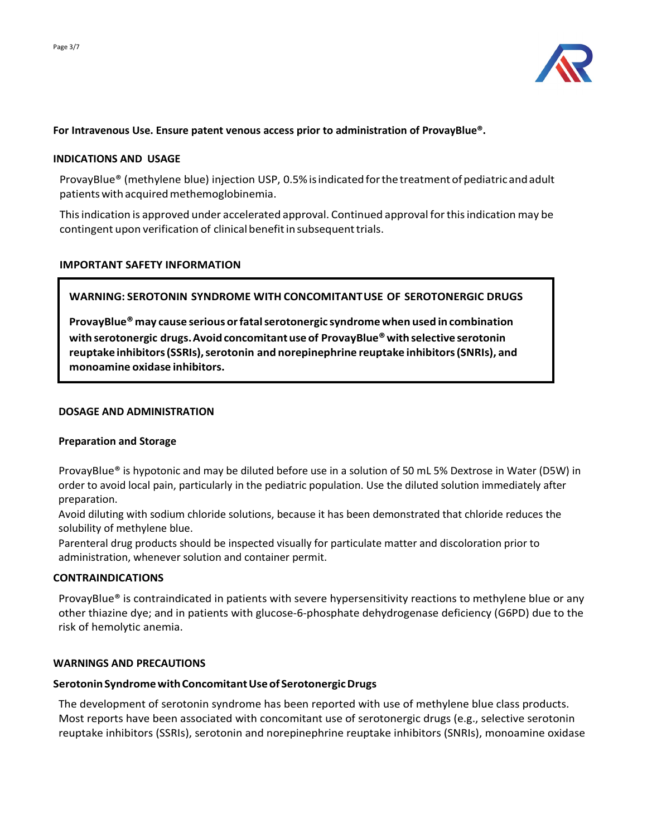

### **For Intravenous Use. Ensure patent venous access prior to administration of ProvayBlue®.**

#### **INDICATIONS AND USAGE**

ProvayBlue® (methylene blue) injection USP, 0.5%isindicated forthetreatment of pediatricandadult patientswithacquiredmethemoglobinemia.

Thisindication is approved under accelerated approval. Continued approval forthisindication may be contingent upon verification of clinical benefit in subsequent trials.

### **IMPORTANT SAFETY INFORMATION**

# **WARNING: SEROTONIN SYNDROME WITH CONCOMITANTUSE OF SEROTONERGIC DRUGS**

**ProvayBlue® may cause serious orfatalserotonergic syndromewhen used in combination with serotonergic drugs.Avoidconcomitantuseof ProvayBlue®withselective serotonin reuptakeinhibitors(SSRIs),serotonin and norepinephrine reuptake inhibitors(SNRIs), and monoamine oxidase inhibitors.**

#### **DOSAGE AND ADMINISTRATION**

#### **Preparation and Storage**

ProvayBlue® is hypotonic and may be diluted before use in a solution of 50 mL 5% Dextrose in Water (D5W) in order to avoid local pain, particularly in the pediatric population. Use the diluted solution immediately after preparation.

Avoid diluting with sodium chloride solutions, because it has been demonstrated that chloride reduces the solubility of methylene blue.

Parenteral drug products should be inspected visually for particulate matter and discoloration prior to administration, whenever solution and container permit.

#### **CONTRAINDICATIONS**

ProvayBlue® is contraindicated in patients with severe hypersensitivity reactions to methylene blue or any other thiazine dye; and in patients with glucose-6-phosphate dehydrogenase deficiency (G6PD) due to the risk of hemolytic anemia.

#### **WARNINGS AND PRECAUTIONS**

#### **SerotoninSyndromewithConcomitantUseof SerotonergicDrugs**

The development of serotonin syndrome has been reported with use of methylene blue class products. Most reports have been associated with concomitant use of serotonergic drugs (e.g., selective serotonin reuptake inhibitors (SSRIs), serotonin and norepinephrine reuptake inhibitors (SNRIs), monoamine oxidase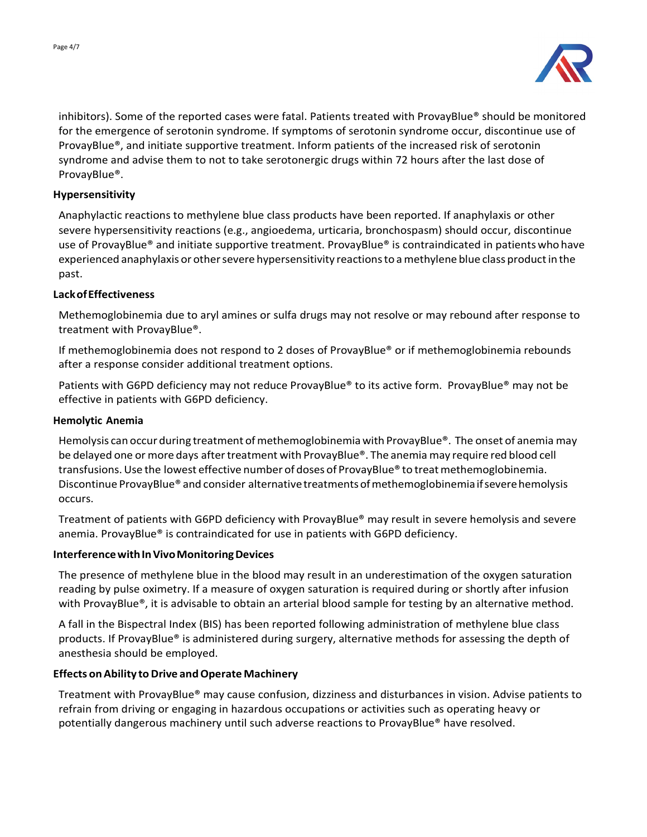

inhibitors). Some of the reported cases were fatal. Patients treated with ProvayBlue® should be monitored for the emergence of serotonin syndrome. If symptoms of serotonin syndrome occur, discontinue use of ProvayBlue®, and initiate supportive treatment. Inform patients of the increased risk of serotonin syndrome and advise them to not to take serotonergic drugs within 72 hours after the last dose of ProvayBlue®.

### **Hypersensitivity**

Anaphylactic reactions to methylene blue class products have been reported. If anaphylaxis or other severe hypersensitivity reactions (e.g., angioedema, urticaria, bronchospasm) should occur, discontinue use of ProvayBlue® and initiate supportive treatment. ProvayBlue® is contraindicated in patientswho have experienced anaphylaxis or other severe hypersensitivity reactions to a methylene blue class product in the past.

### **LackofEffectiveness**

Methemoglobinemia due to aryl amines or sulfa drugs may not resolve or may rebound after response to treatment with ProvayBlue®.

If methemoglobinemia does not respond to 2 doses of ProvayBlue® or if methemoglobinemia rebounds after a response consider additional treatment options.

Patients with G6PD deficiency may not reduce ProvayBlue® to its active form. ProvayBlue® may not be effective in patients with G6PD deficiency.

#### **Hemolytic Anemia**

Hemolysis can occur during treatment of methemoglobinemia with ProvayBlue®. The onset of anemia may be delayed one or more days aftertreatment with ProvayBlue®. The anemia may require red blood cell transfusions. Use the lowest effective number of doses of ProvayBlue® to treat methemoglobinemia. Discontinue ProvayBlue® and consider alternative treatments of methemoglobinemia if severe hemolysis occurs.

Treatment of patients with G6PD deficiency with ProvayBlue® may result in severe hemolysis and severe anemia. ProvayBlue® is contraindicated for use in patients with G6PD deficiency.

#### **Interference with In Vivo Monitoring Devices**

The presence of methylene blue in the blood may result in an underestimation of the oxygen saturation reading by pulse oximetry. If a measure of oxygen saturation is required during or shortly after infusion with ProvayBlue®, it is advisable to obtain an arterial blood sample for testing by an alternative method.

A fall in the Bispectral Index (BIS) has been reported following administration of methylene blue class products. If ProvayBlue® is administered during surgery, alternative methods for assessing the depth of anesthesia should be employed.

#### **Effects on Ability to Drive and Operate Machinery**

Treatment with ProvayBlue® may cause confusion, dizziness and disturbances in vision. Advise patients to refrain from driving or engaging in hazardous occupations or activities such as operating heavy or potentially dangerous machinery until such adverse reactions to ProvayBlue® have resolved.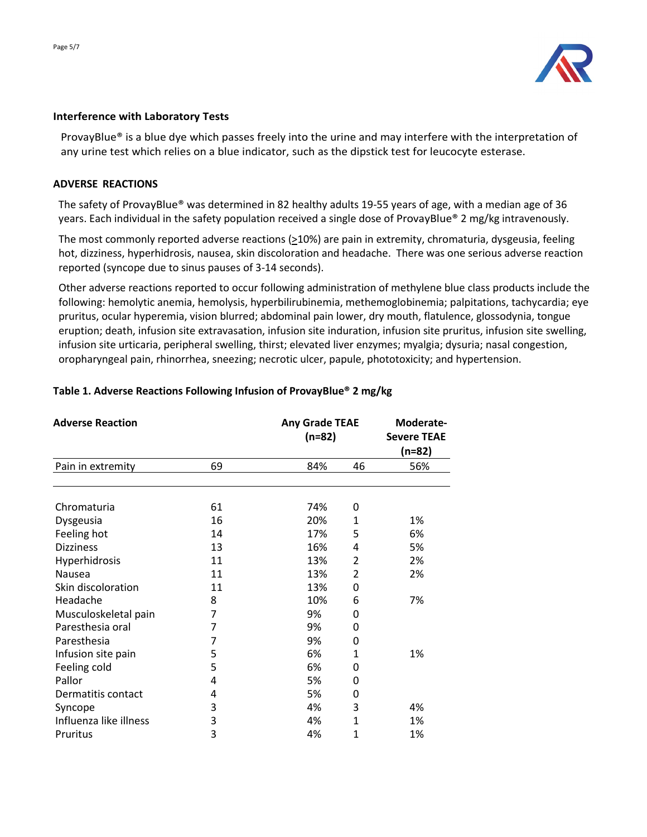

### **Interference with Laboratory Tests**

ProvayBlue® is a blue dye which passes freely into the urine and may interfere with the interpretation of any urine test which relies on a blue indicator, such as the dipstick test for leucocyte esterase.

### **ADVERSE REACTIONS**

The safety of ProvayBlue® was determined in 82 healthy adults 19-55 years of age, with a median age of 36 years. Each individual in the safety population received a single dose of ProvayBlue® 2 mg/kg intravenously.

The most commonly reported adverse reactions (>10%) are pain in extremity, chromaturia, dysgeusia, feeling hot, dizziness, hyperhidrosis, nausea, skin discoloration and headache. There was one serious adverse reaction reported (syncope due to sinus pauses of 3-14 seconds).

Other adverse reactions reported to occur following administration of methylene blue class products include the following: hemolytic anemia, hemolysis, hyperbilirubinemia, methemoglobinemia; palpitations, tachycardia; eye pruritus, ocular hyperemia, vision blurred; abdominal pain lower, dry mouth, flatulence, glossodynia, tongue eruption; death, infusion site extravasation, infusion site induration, infusion site pruritus, infusion site swelling, infusion site urticaria, peripheral swelling, thirst; elevated liver enzymes; myalgia; dysuria; nasal congestion, oropharyngeal pain, rhinorrhea, sneezing; necrotic ulcer, papule, phototoxicity; and hypertension.

| <b>Adverse Reaction</b> |    | <b>Any Grade TEAE</b><br>$(n=82)$ |                | Moderate-<br><b>Severe TEAE</b><br>$(n=82)$ |  |
|-------------------------|----|-----------------------------------|----------------|---------------------------------------------|--|
|                         |    |                                   |                |                                             |  |
| Pain in extremity       | 69 | 84%                               | 46             | 56%                                         |  |
|                         |    |                                   |                |                                             |  |
| Chromaturia             | 61 | 74%                               | 0              |                                             |  |
| Dysgeusia               | 16 | 20%                               | $\mathbf{1}$   | 1%                                          |  |
| Feeling hot             | 14 | 17%                               | 5              | 6%                                          |  |
| <b>Dizziness</b>        | 13 | 16%                               | 4              | 5%                                          |  |
| Hyperhidrosis           | 11 | 13%                               | $\overline{2}$ | 2%                                          |  |
| Nausea                  | 11 | 13%                               | $\overline{2}$ | 2%                                          |  |
| Skin discoloration      | 11 | 13%                               | 0              |                                             |  |
| Headache                | 8  | 10%                               | 6              | 7%                                          |  |
| Musculoskeletal pain    | 7  | 9%                                | 0              |                                             |  |
| Paresthesia oral        | 7  | 9%                                | 0              |                                             |  |
| Paresthesia             | 7  | 9%                                | 0              |                                             |  |
| Infusion site pain      | 5  | 6%                                | 1              | 1%                                          |  |
| Feeling cold            | 5  | 6%                                | 0              |                                             |  |
| Pallor                  | 4  | 5%                                | 0              |                                             |  |
| Dermatitis contact      | 4  | 5%                                | 0              |                                             |  |
| Syncope                 | 3  | 4%                                | 3              | 4%                                          |  |
| Influenza like illness  | 3  | 4%                                | $\mathbf{1}$   | 1%                                          |  |
| Pruritus                | 3  | 4%                                | 1              | 1%                                          |  |

## **Table 1. Adverse Reactions Following Infusion of ProvayBlue® 2 mg/kg**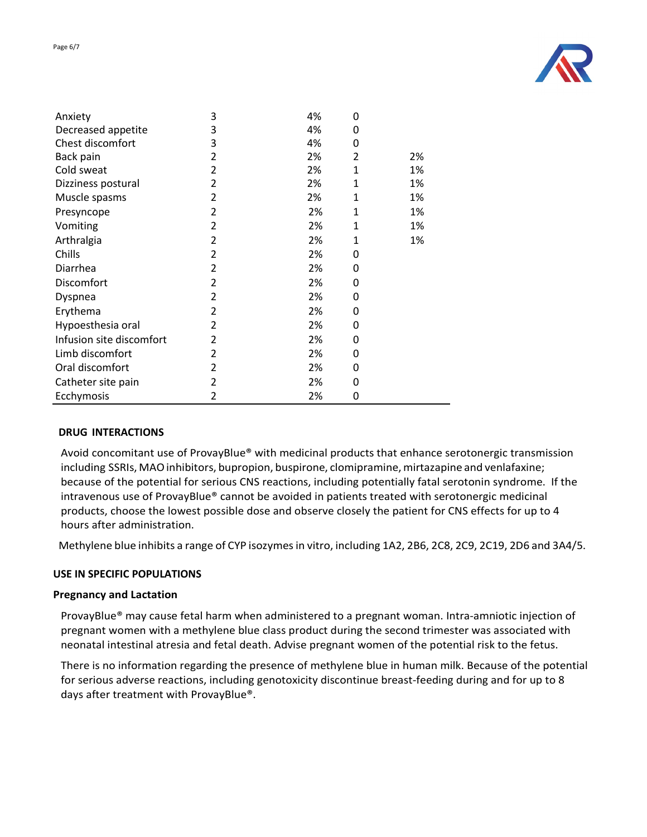

| Anxiety                  | 3              | 4% | 0 |    |
|--------------------------|----------------|----|---|----|
| Decreased appetite       | 3              | 4% | 0 |    |
| Chest discomfort         | 3              | 4% | 0 |    |
| Back pain                | 2              | 2% | 2 | 2% |
| Cold sweat               | 2              | 2% | 1 | 1% |
| Dizziness postural       | 2              | 2% | 1 | 1% |
| Muscle spasms            | 2              | 2% | 1 | 1% |
| Presyncope               | 2              | 2% | 1 | 1% |
| Vomiting                 | 2              | 2% | 1 | 1% |
| Arthralgia               | 2              | 2% | 1 | 1% |
| Chills                   | 2              | 2% | 0 |    |
| Diarrhea                 | 2              | 2% | 0 |    |
| Discomfort               | 2              | 2% | 0 |    |
| Dyspnea                  | 2              | 2% | 0 |    |
| Erythema                 | 2              | 2% | 0 |    |
| Hypoesthesia oral        | 2              | 2% | 0 |    |
| Infusion site discomfort | $\overline{2}$ | 2% | 0 |    |
| Limb discomfort          | 2              | 2% | 0 |    |
| Oral discomfort          | 2              | 2% | 0 |    |
| Catheter site pain       | 2              | 2% | 0 |    |
| Ecchymosis               | 2              | 2% | 0 |    |

#### **DRUG INTERACTIONS**

Avoid concomitant use of ProvayBlue® with medicinal products that enhance serotonergic transmission including SSRIs, MAO inhibitors, bupropion, buspirone, clomipramine, mirtazapine and venlafaxine; because of the potential for serious CNS reactions, including potentially fatal serotonin syndrome. If the intravenous use of ProvayBlue® cannot be avoided in patients treated with serotonergic medicinal products, choose the lowest possible dose and observe closely the patient for CNS effects for up to 4 hours after administration.

Methylene blue inhibits a range of CYP isozymes in vitro, including 1A2, 2B6, 2C8, 2C9, 2C19, 2D6 and 3A4/5.

## **USE IN SPECIFIC POPULATIONS**

#### **Pregnancy and Lactation**

ProvayBlue® may cause fetal harm when administered to a pregnant woman. Intra-amniotic injection of pregnant women with a methylene blue class product during the second trimester was associated with neonatal intestinal atresia and fetal death. Advise pregnant women of the potential risk to the fetus.

There is no information regarding the presence of methylene blue in human milk. Because of the potential for serious adverse reactions, including genotoxicity discontinue breast-feeding during and for up to 8 days after treatment with ProvayBlue®.